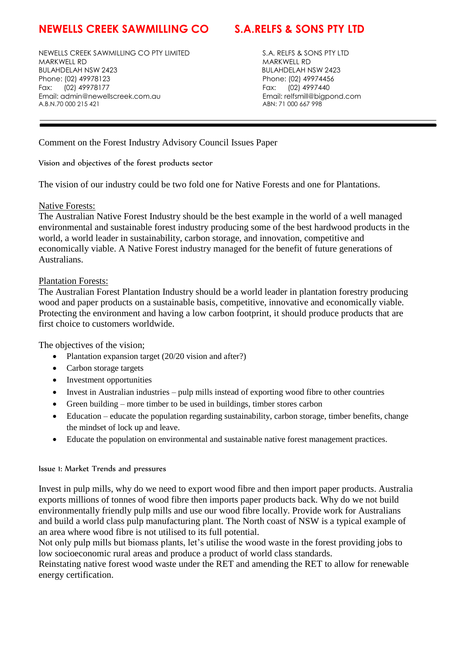# **NEWELLS CREEK SAWMILLING CO S.A.RELFS & SONS PTY LTD**

NEWELLS CREEK SAWMILLING CO PTY LIMITED S.A. RELFS & SONS PTY LTD MARKWELL RD MARKWELL RD BULAHDELAH NSW 2423 BULAHDELAH NSW 2423 Phone: (02) 49978123 Phone: (02) 49974456 Fax: (02) 49978177 Fax: (02) 4997440 Email: admin@newellscreek.com.au Email: relfsmill@bigpond.com A.B.N.70 000 215 421 ABN: 71 000 667 998

Comment on the Forest Industry Advisory Council Issues Paper

Vision and objectives of the forest products sector

The vision of our industry could be two fold one for Native Forests and one for Plantations.

### Native Forests:

The Australian Native Forest Industry should be the best example in the world of a well managed environmental and sustainable forest industry producing some of the best hardwood products in the world, a world leader in sustainability, carbon storage, and innovation, competitive and economically viable. A Native Forest industry managed for the benefit of future generations of Australians.

# Plantation Forests:

The Australian Forest Plantation Industry should be a world leader in plantation forestry producing wood and paper products on a sustainable basis, competitive, innovative and economically viable. Protecting the environment and having a low carbon footprint, it should produce products that are first choice to customers worldwide.

The objectives of the vision:

- Plantation expansion target (20/20 vision and after?)
- Carbon storage targets
- Investment opportunities
- Invest in Australian industries pulp mills instead of exporting wood fibre to other countries
- Green building more timber to be used in buildings, timber stores carbon
- Education educate the population regarding sustainability, carbon storage, timber benefits, change the mindset of lock up and leave.
- Educate the population on environmental and sustainable native forest management practices.

### Issue 1: Market Trends and pressures

Invest in pulp mills, why do we need to export wood fibre and then import paper products. Australia exports millions of tonnes of wood fibre then imports paper products back. Why do we not build environmentally friendly pulp mills and use our wood fibre locally. Provide work for Australians and build a world class pulp manufacturing plant. The North coast of NSW is a typical example of an area where wood fibre is not utilised to its full potential.

Not only pulp mills but biomass plants, let's utilise the wood waste in the forest providing jobs to low socioeconomic rural areas and produce a product of world class standards.

Reinstating native forest wood waste under the RET and amending the RET to allow for renewable energy certification.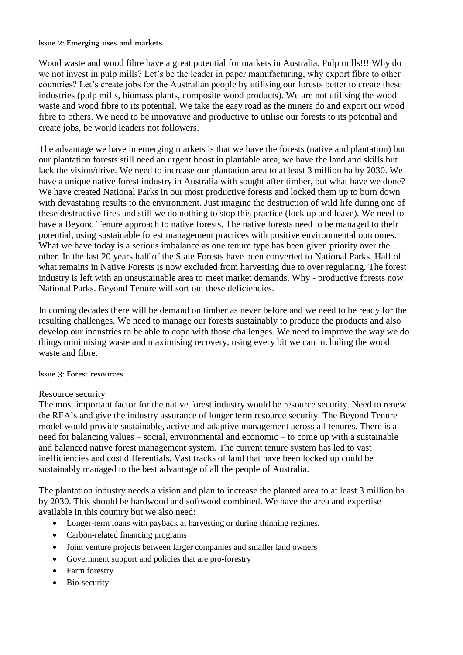#### Issue 2: Emerging uses and markets

Wood waste and wood fibre have a great potential for markets in Australia. Pulp mills!!! Why do we not invest in pulp mills? Let's be the leader in paper manufacturing, why export fibre to other countries? Let's create jobs for the Australian people by utilising our forests better to create these industries (pulp mills, biomass plants, composite wood products). We are not utilising the wood waste and wood fibre to its potential. We take the easy road as the miners do and export our wood fibre to others. We need to be innovative and productive to utilise our forests to its potential and create jobs, be world leaders not followers.

The advantage we have in emerging markets is that we have the forests (native and plantation) but our plantation forests still need an urgent boost in plantable area, we have the land and skills but lack the vision/drive. We need to increase our plantation area to at least 3 million ha by 2030. We have a unique native forest industry in Australia with sought after timber, but what have we done? We have created National Parks in our most productive forests and locked them up to burn down with devastating results to the environment. Just imagine the destruction of wild life during one of these destructive fires and still we do nothing to stop this practice (lock up and leave). We need to have a Beyond Tenure approach to native forests. The native forests need to be managed to their potential, using sustainable forest management practices with positive environmental outcomes. What we have today is a serious imbalance as one tenure type has been given priority over the other. In the last 20 years half of the State Forests have been converted to National Parks. Half of what remains in Native Forests is now excluded from harvesting due to over regulating. The forest industry is left with an unsustainable area to meet market demands. Why - productive forests now National Parks. Beyond Tenure will sort out these deficiencies.

In coming decades there will be demand on timber as never before and we need to be ready for the resulting challenges. We need to manage our forests sustainably to produce the products and also develop our industries to be able to cope with those challenges. We need to improve the way we do things minimising waste and maximising recovery, using every bit we can including the wood waste and fibre.

### Issue 3: Forest resources

### Resource security

The most important factor for the native forest industry would be resource security. Need to renew the RFA's and give the industry assurance of longer term resource security. The Beyond Tenure model would provide sustainable, active and adaptive management across all tenures. There is a need for balancing values – social, environmental and economic – to come up with a sustainable and balanced native forest management system. The current tenure system has led to vast inefficiencies and cost differentials. Vast tracks of land that have been locked up could be sustainably managed to the best advantage of all the people of Australia.

The plantation industry needs a vision and plan to increase the planted area to at least 3 million ha by 2030. This should be hardwood and softwood combined. We have the area and expertise available in this country but we also need:

- Longer-term loans with payback at harvesting or during thinning regimes.
- Carbon-related financing programs
- Joint venture projects between larger companies and smaller land owners
- Government support and policies that are pro-forestry
- Farm forestry
- Bio-security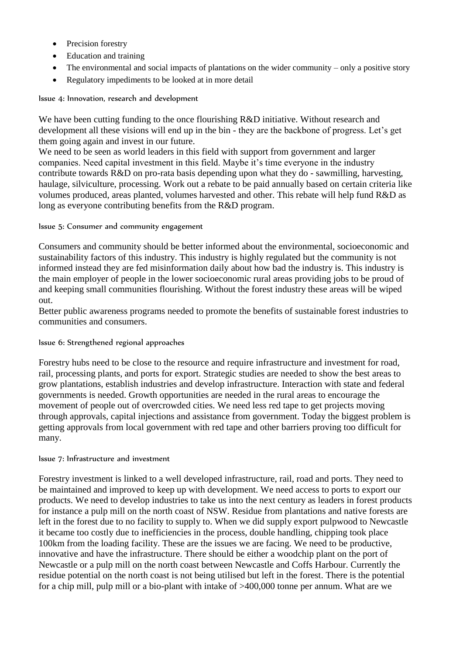- Precision forestry
- Education and training
- $\bullet$  The environmental and social impacts of plantations on the wider community only a positive story
- Regulatory impediments to be looked at in more detail

Issue 4: Innovation, research and development

We have been cutting funding to the once flourishing R&D initiative. Without research and development all these visions will end up in the bin - they are the backbone of progress. Let's get them going again and invest in our future.

We need to be seen as world leaders in this field with support from government and larger companies. Need capital investment in this field. Maybe it's time everyone in the industry contribute towards R&D on pro-rata basis depending upon what they do - sawmilling, harvesting, haulage, silviculture, processing. Work out a rebate to be paid annually based on certain criteria like volumes produced, areas planted, volumes harvested and other. This rebate will help fund R&D as long as everyone contributing benefits from the R&D program.

# Issue 5: Consumer and community engagement

Consumers and community should be better informed about the environmental, socioeconomic and sustainability factors of this industry. This industry is highly regulated but the community is not informed instead they are fed misinformation daily about how bad the industry is. This industry is the main employer of people in the lower socioeconomic rural areas providing jobs to be proud of and keeping small communities flourishing. Without the forest industry these areas will be wiped out.

Better public awareness programs needed to promote the benefits of sustainable forest industries to communities and consumers.

# Issue 6: Strengthened regional approaches

Forestry hubs need to be close to the resource and require infrastructure and investment for road, rail, processing plants, and ports for export. Strategic studies are needed to show the best areas to grow plantations, establish industries and develop infrastructure. Interaction with state and federal governments is needed. Growth opportunities are needed in the rural areas to encourage the movement of people out of overcrowded cities. We need less red tape to get projects moving through approvals, capital injections and assistance from government. Today the biggest problem is getting approvals from local government with red tape and other barriers proving too difficult for many.

### Issue 7: Infrastructure and investment

Forestry investment is linked to a well developed infrastructure, rail, road and ports. They need to be maintained and improved to keep up with development. We need access to ports to export our products. We need to develop industries to take us into the next century as leaders in forest products for instance a pulp mill on the north coast of NSW. Residue from plantations and native forests are left in the forest due to no facility to supply to. When we did supply export pulpwood to Newcastle it became too costly due to inefficiencies in the process, double handling, chipping took place 100km from the loading facility. These are the issues we are facing. We need to be productive, innovative and have the infrastructure. There should be either a woodchip plant on the port of Newcastle or a pulp mill on the north coast between Newcastle and Coffs Harbour. Currently the residue potential on the north coast is not being utilised but left in the forest. There is the potential for a chip mill, pulp mill or a bio-plant with intake of >400,000 tonne per annum. What are we